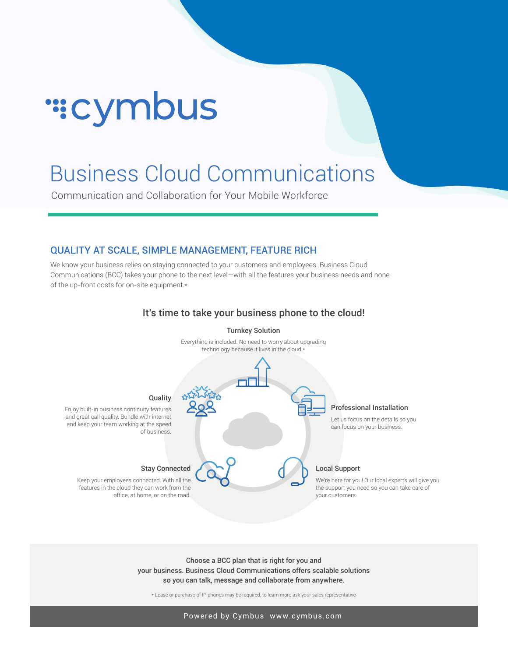# ":cymbus

## Business Cloud Communications

Communication and Collaboration for Your Mobile Workforce

#### QUALITY AT SCALE, SIMPLE MANAGEMENT, FEATURE RICH

We know your business relies on staying connected to your customers and employees. Business Cloud Communications (BCC) takes your phone to the next level—with all the features your business needs and none of the up-front costs for on-site equipment.\*



#### It's time to take your business phone to the cloud!

Choose a BCC plan that is right for you and your business. Business Cloud Communications offers scalable solutions so you can talk, message and collaborate from anywhere.

\* Lease or purchase of IP phones may be required, to learn more ask your sales representative

Powered by Cymbus www.cymbus.com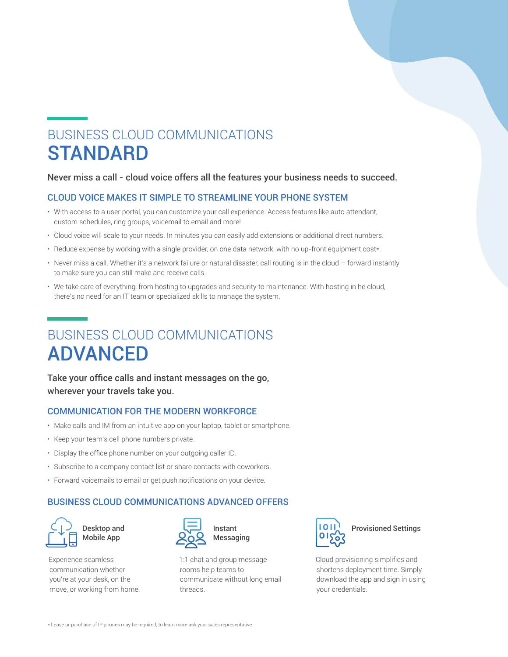## BUSINESS CLOUD COMMUNICATIONS **STANDARD**

#### Never miss a call - cloud voice offers all the features your business needs to succeed.

#### CLOUD VOICE MAKES IT SIMPLE TO STREAMLINE YOUR PHONE SYSTEM

- With access to a user portal, you can customize your call experience. Access features like auto attendant, custom schedules, ring groups, voicemail to email and more!
- Cloud voice will scale to your needs. In minutes you can easily add extensions or additional direct numbers.
- Reduce expense by working with a single provider, on one data network, with no up-front equipment cost\*.
- Never miss a call. Whether it's a network failure or natural disaster, call routing is in the cloud forward instantly to make sure you can still make and receive calls.
- We take care of everything, from hosting to upgrades and security to maintenance. With hosting in he cloud, there's no need for an IT team or specialized skills to manage the system.

## BUSINESS CLOUD COMMUNICATIONS ADVANCED

Take your office calls and instant messages on the go, wherever your travels take you.

#### COMMUNICATION FOR THE MODERN WORKFORCE

- Make calls and IM from an intuitive app on your laptop, tablet or smartphone.
- Keep your team's cell phone numbers private.
- Display the office phone number on your outgoing caller ID.
- Subscribe to a company contact list or share contacts with coworkers.
- Forward voicemails to email or get push notifications on your device.

#### BUSINESS CLOUD COMMUNICATIONS ADVANCED OFFERS



Experience seamless communication whether you're at your desk, on the move, or working from home.



1:1 chat and group message rooms help teams to communicate without long email threads.



### Provisioned Settings

Cloud provisioning simplifies and shortens deployment time. Simply download the app and sign in using your credentials.

\* Lease or purchase of IP phones may be required, to learn more ask your sales representative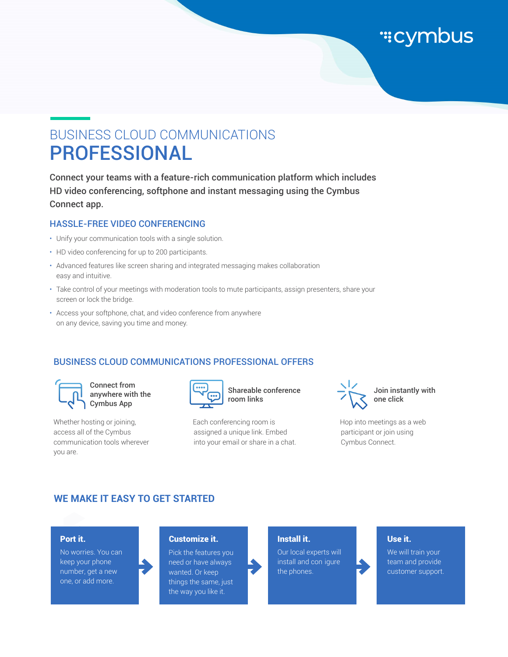

## BUSINESS CLOUD COMMUNICATIONS PROFESSIONAL

Connect your teams with a feature-rich communication platform which includes HD video conferencing, softphone and instant messaging using the Cymbus Connect app.

#### HASSLE-FREE VIDEO CONFERENCING

- Unify your communication tools with a single solution.
- HD video conferencing for up to 200 participants.
- Advanced features like screen sharing and integrated messaging makes collaboration easy and intuitive.
- Take control of your meetings with moderation tools to mute participants, assign presenters, share your screen or lock the bridge.
- Access your softphone, chat, and video conference from anywhere on any device, saving you time and money.

#### BUSINESS CLOUD COMMUNICATIONS PROFESSIONAL OFFERS



anywhere with the Cymbus App

Whether hosting or joining, access all of the Cymbus communication tools wherever you are.



Shareable conference room links

Each conferencing room is assigned a unique link. Embed into your email or share in a chat.



Hop into meetings as a web participant or join using Cymbus Connect.

#### **WE MAKE IT EASY TO GET STARTED**

#### Port it.

No worries. You can keep your phone number, get a new one, or add more.

#### Customize it.

Pick the features you need or have always wanted. Or keep things the same, just the way you like it.

#### Install it.

Our local experts will install and con igure the phones.

#### Use it.

We will train your team and provide customer support.